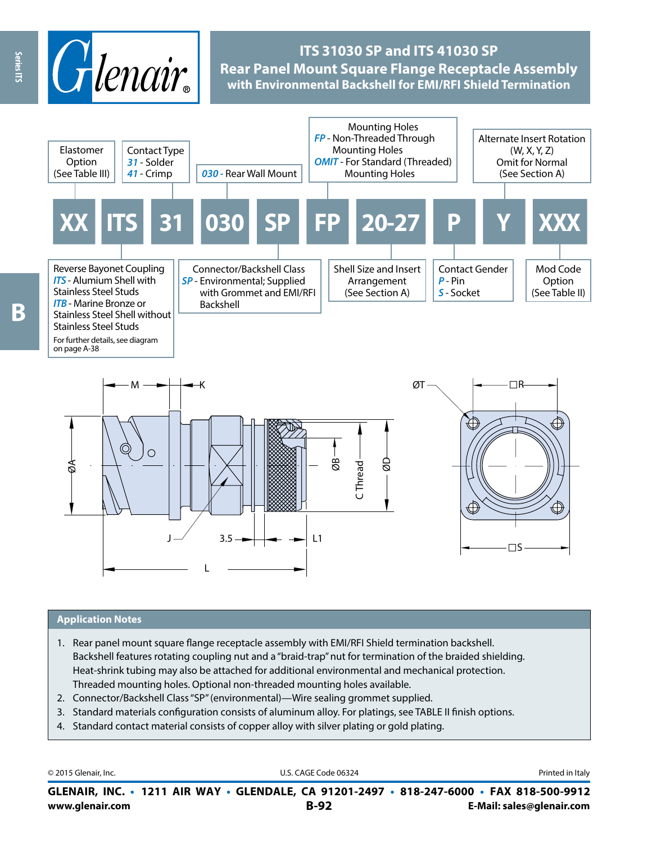

# **ITS 31030 SP and ITS 41030 SP Rear Panel Mount Square Flange Receptacle Assembly with Environmental Backshell for EMI/RFI Shield Termination**





#### **Application Notes**

- 1. Rear panel mount square flange receptacle assembly with EMI/RFI Shield termination backshell. Backshell features rotating coupling nut and a "braid-trap" nut for termination of the braided shielding. Heat-shrink tubing may also be attached for additional environmental and mechanical protection. Threaded mounting holes. Optional non-threaded mounting holes available.
- 2. Connector/Backshell Class "SP" (environmental)—Wire sealing grommet supplied.
- 3. Standard materials configuration consists of aluminum alloy. For platings, see TABLE II finish options.
- 4. Standard contact material consists of copper alloy with silver plating or gold plating.

| © 2015 Glenair, Inc. | U.S. CAGE Code 06324                                                                     | Printed in Italy          |
|----------------------|------------------------------------------------------------------------------------------|---------------------------|
|                      | GLENAIR, INC. • 1211 AIR WAY • GLENDALE, CA 91201-2497 • 818-247-6000 • FAX 818-500-9912 |                           |
| www.glenair.com      | $B-92$                                                                                   | E-Mail: sales@glenair.com |

Series ITS